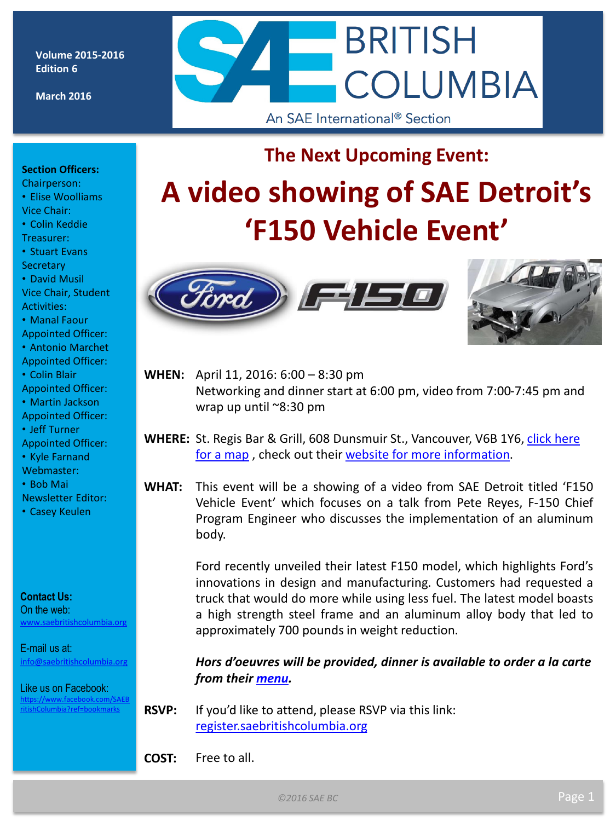**Volume 2015-2016 Edition 6**

**March 2016**

# **BRITISH COLUMBIA** An SAE International<sup>®</sup> Section

# **The Next Upcoming Event:**

#### **Section Officers:**

- Chairperson: • Elise Woolliams
- Vice Chair:
- Colin Keddie Treasurer:
- Stuart Evans
- **Secretary**
- David Musil Vice Chair, Student Activities:
- Manal Faour
- Appointed Officer:
- Antonio Marchet Appointed Officer:
- Colin Blair
- Appointed Officer:
- Martin Jackson
- Appointed Officer:
- Jeff Turner
- Appointed Officer:
- Kyle Farnand
- Webmaster:
- Bob Mai
- Newsletter Editor:
- Casey Keulen

#### **Contact Us:**

On the web: [www.saebritishcolumbia.org](http://www.saebritishcolumbia.org)

E-mail us at: [info@saebritishcolumbia.org](mailto:info@saebritishcolumbia.org)

Like us on Facebook: [https://www.facebook.com/SAEB](https://www.facebook.com/SAEBritishColumbia?ref=bookmarks) [ritishColumbia?ref=bookmarks](https://www.facebook.com/SAEBritishColumbia?ref=bookmarks)







**WHEN:** April 11, 2016: 6:00 – 8:30 pm Networking and dinner start at 6:00 pm, video from 7:00-7:45 pm and wrap up until ~8:30 pm

- **WHERE:** St. Regis Bar & Grill, 608 Dunsmuir St., Vancouver, V6B 1Y6, [click here](https://www.google.ca/maps/place/St.+Regis+Bar+&+Grill/@49.2831743,-123.1181345,17z/data=!3m1!4b1!4m2!3m1!1s0x54867178cb476201:0x90580c8a277e06c4?hl=en)  [for a map](https://www.google.ca/maps/place/St.+Regis+Bar+&+Grill/@49.2831743,-123.1181345,17z/data=!3m1!4b1!4m2!3m1!1s0x54867178cb476201:0x90580c8a277e06c4?hl=en), check out their [website for more information.](http://stregisbarandgrill.com/)
- **WHAT:** This event will be a showing of a video from SAE Detroit titled 'F150 Vehicle Event' which focuses on a talk from Pete Reyes, F-150 Chief Program Engineer who discusses the implementation of an aluminum body.

Ford recently unveiled their latest F150 model, which highlights Ford's innovations in design and manufacturing. Customers had requested a truck that would do more while using less fuel. The latest model boasts a high strength steel frame and an aluminum alloy body that led to approximately 700 pounds in weight reduction.

*Hors d'oeuvres will be provided, dinner is available to order a la carte from their [menu.](http://stregisbarandgrill.com/wp-content/uploads/2015/06/food-print-style-sheet.pdf)*

**RSVP:** If you'd like to attend, please RSVP via this link: [register.saebritishcolumbia.org](http://register.saebritishcolumbia.org/)

**COST:** Free to all.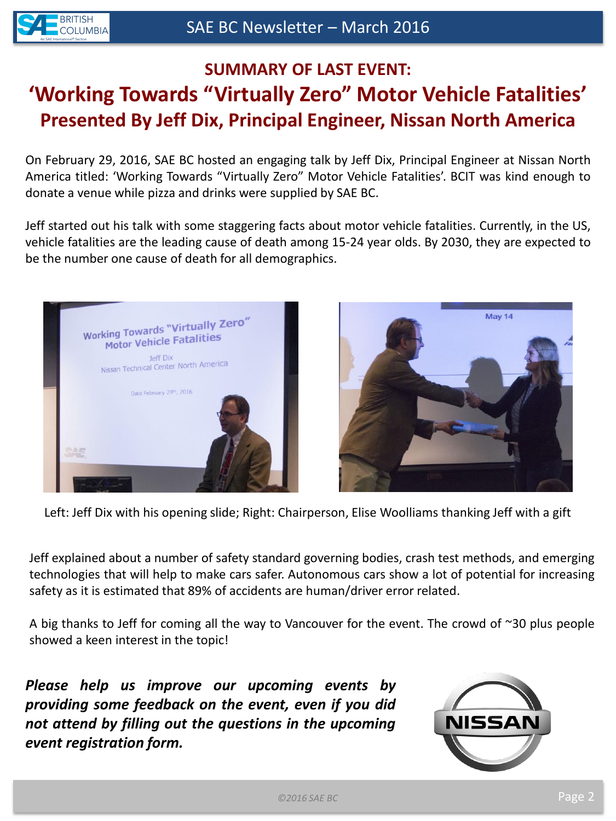

# **SUMMARY OF LAST EVENT: 'Working Towards "Virtually Zero" Motor Vehicle Fatalities' Presented By Jeff Dix, Principal Engineer, Nissan North America**

On February 29, 2016, SAE BC hosted an engaging talk by Jeff Dix, Principal Engineer at Nissan North America titled: 'Working Towards "Virtually Zero" Motor Vehicle Fatalities'. BCIT was kind enough to donate a venue while pizza and drinks were supplied by SAE BC.

Jeff started out his talk with some staggering facts about motor vehicle fatalities. Currently, in the US, vehicle fatalities are the leading cause of death among 15-24 year olds. By 2030, they are expected to be the number one cause of death for all demographics.





Left: Jeff Dix with his opening slide; Right: Chairperson, Elise Woolliams thanking Jeff with a gift

Jeff explained about a number of safety standard governing bodies, crash test methods, and emerging technologies that will help to make cars safer. Autonomous cars show a lot of potential for increasing safety as it is estimated that 89% of accidents are human/driver error related.

A big thanks to Jeff for coming all the way to Vancouver for the event. The crowd of ~30 plus people showed a keen interest in the topic!

*Please help us improve our upcoming events by providing some feedback on the event, even if you did not attend by filling out the questions in the upcoming event registration form.*

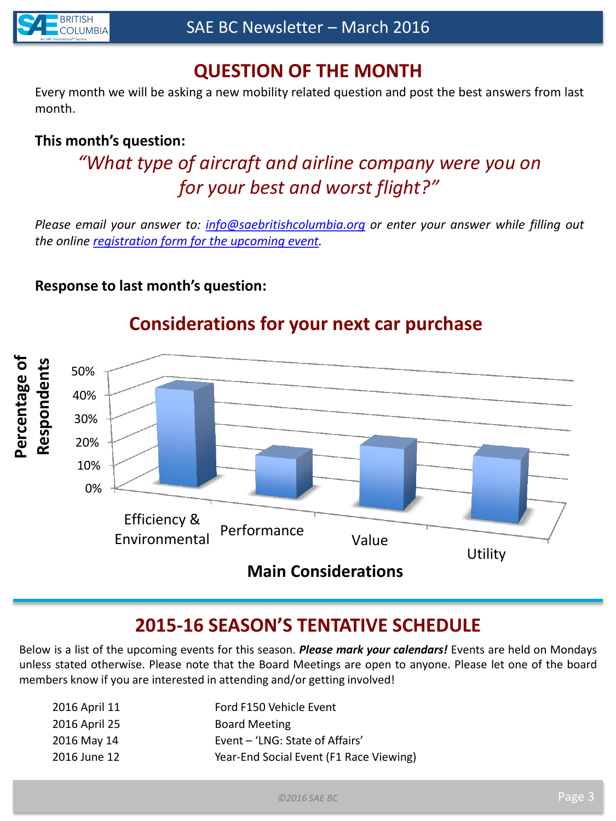

## **QUESTION OF THE MONTH**

Every month we will be asking a new mobility related question and post the best answers from last month.

#### **This month's question:**

# *"What type of aircraft and airline company were you on for your best and worst flight?"*

*Please email your answer to: [info@saebritishcolumbia.org](mailto:info@saebritishcolumbia.org) or enter your answer while filling out the online [registration](register.saebritishcolumbia.org) [form](register.saebritishcolumbia.org) [for](register.saebritishcolumbia.org) [the](register.saebritishcolumbia.org) [upcoming](register.saebritishcolumbia.org) [event](register.saebritishcolumbia.org).*

#### **Response to last month's question:**



## **Considerations for your next car purchase**

#### **2015-16 SEASON'S TENTATIVE SCHEDULE**

Below is a list of the upcoming events for this season. *Please mark your calendars!* Events are held on Mondays unless stated otherwise. Please note that the Board Meetings are open to anyone. Please let one of the board members know if you are interested in attending and/or getting involved!

| 2016 April 11 | Ford F150 Vehicle Event                 |
|---------------|-----------------------------------------|
| 2016 April 25 | <b>Board Meeting</b>                    |
| 2016 May 14   | Event - 'LNG: State of Affairs'         |
| 2016 June 12  | Year-End Social Event (F1 Race Viewing) |
|               |                                         |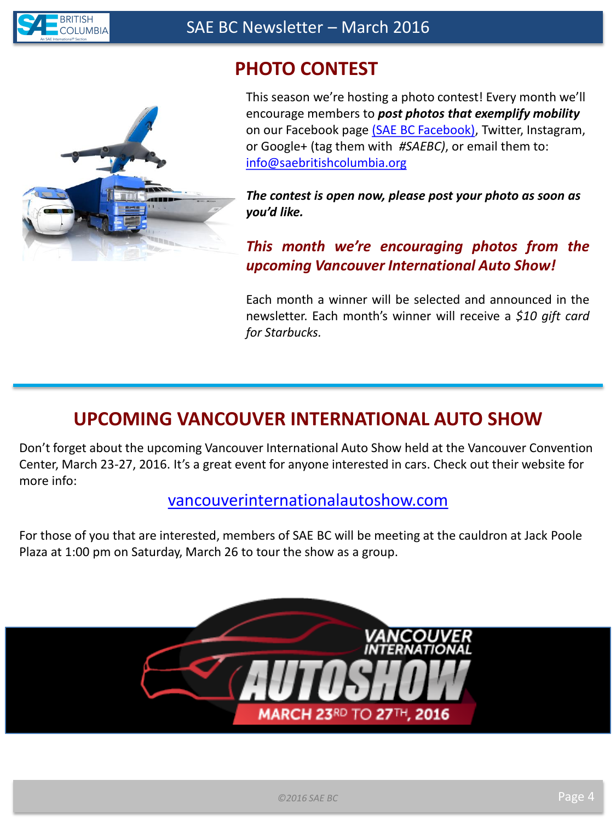

## **PHOTO CONTEST**



This season we're hosting a photo contest! Every month we'll encourage members to *post photos that exemplify mobility* on our Facebook page [\(SAE BC Facebook\)](https://www.facebook.com/SAEBritishColumbia?ref=bookmarks), Twitter, Instagram, or Google+ (tag them with *#SAEBC)*, or email them to: [info@saebritishcolumbia.org](mailto:info@saebritishcolumbia.org)

*The contest is open now, please post your photo as soon as you'd like.*

#### *This month we're encouraging photos from the upcoming Vancouver International Auto Show!*

Each month a winner will be selected and announced in the newsletter. Each month's winner will receive a *\$10 gift card for Starbucks.*

## **UPCOMING VANCOUVER INTERNATIONAL AUTO SHOW**

Don't forget about the upcoming Vancouver International Auto Show held at the Vancouver Convention Center, March 23-27, 2016. It's a great event for anyone interested in cars. Check out their website for more info:

[vancouverinternationalautoshow.com](http://vancouverinternationalautoshow.com/)

For those of you that are interested, members of SAE BC will be meeting at the cauldron at Jack Poole Plaza at 1:00 pm on Saturday, March 26 to tour the show as a group.